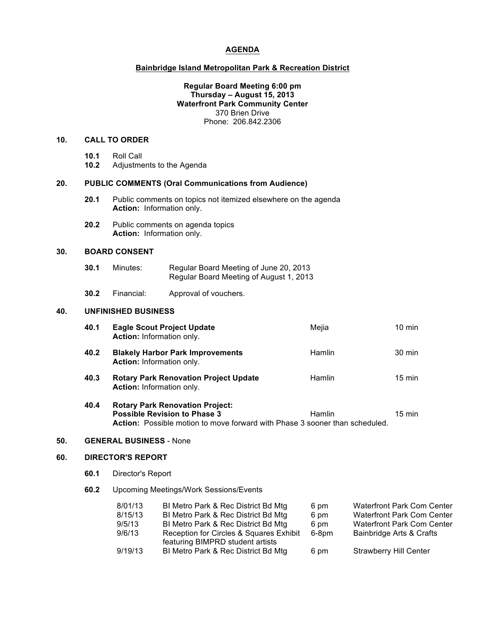### **AGENDA**

## **Bainbridge Island Metropolitan Park & Recreation District**

### **Regular Board Meeting 6:00 pm Thursday – August 15, 2013 Waterfront Park Community Center** 370 Brien Drive Phone: 206.842.2306

# **10. CALL TO ORDER**

- **10.1** Roll Call
- **10.2** Adjustments to the Agenda

## **20. PUBLIC COMMENTS (Oral Communications from Audience)**

- **20.1** Public comments on topics not itemized elsewhere on the agenda **Action:** Information only.
- **20.2** Public comments on agenda topics **Action:** Information only.

# **30. BOARD CONSENT**

| 30.1 | Minutes: | Regular Board Meeting of June 20, 2013  |
|------|----------|-----------------------------------------|
|      |          | Regular Board Meeting of August 1, 2013 |

**30.2** Financial: Approval of vouchers.

## **40. UNFINISHED BUSINESS**

| 40.1 | <b>Eagle Scout Project Update</b><br><b>Action:</b> Information only.                                                                                               | Mejia         | $10 \text{ min}$ |
|------|---------------------------------------------------------------------------------------------------------------------------------------------------------------------|---------------|------------------|
| 40.2 | <b>Blakely Harbor Park Improvements</b><br><b>Action:</b> Information only.                                                                                         | <b>Hamlin</b> | $30 \text{ min}$ |
| 40.3 | <b>Rotary Park Renovation Project Update</b><br><b>Action:</b> Information only.                                                                                    | <b>Hamlin</b> | $15 \text{ min}$ |
| 40.4 | <b>Rotary Park Renovation Project:</b><br><b>Possible Revision to Phase 3</b><br><b>Action:</b> Possible motion to move forward with Phase 3 sooner than scheduled. | <b>Hamlin</b> | $15 \text{ min}$ |

#### **50. GENERAL BUSINESS** - None

# **60. DIRECTOR'S REPORT**

- **60.1** Director's Report
- **60.2** Upcoming Meetings/Work Sessions/Events

| 8/01/13 | BI Metro Park & Rec District Bd Mtg                                         | 6 pm  | <b>Waterfront Park Com Center</b> |
|---------|-----------------------------------------------------------------------------|-------|-----------------------------------|
| 8/15/13 | BI Metro Park & Rec District Bd Mtg                                         | 6 pm  | <b>Waterfront Park Com Center</b> |
| 9/5/13  | BI Metro Park & Rec District Bd Mtg                                         | 6 pm  | <b>Waterfront Park Com Center</b> |
| 9/6/13  | Reception for Circles & Squares Exhibit<br>featuring BIMPRD student artists | 6-8pm | Bainbridge Arts & Crafts          |
| 9/19/13 | BI Metro Park & Rec District Bd Mtg                                         | 6 pm  | <b>Strawberry Hill Center</b>     |